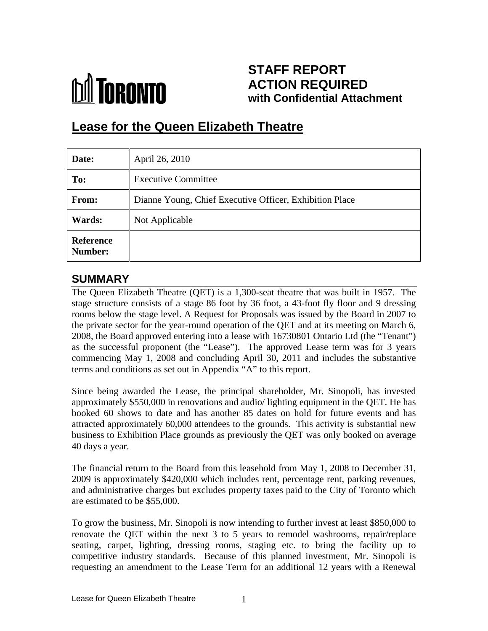

# **STAFF REPORT ACTION REQUIRED with Confidential Attachment**

# **Lease for the Queen Elizabeth Theatre**

| Date:                       | April 26, 2010                                          |
|-----------------------------|---------------------------------------------------------|
| To:                         | <b>Executive Committee</b>                              |
| From:                       | Dianne Young, Chief Executive Officer, Exhibition Place |
| Wards:                      | Not Applicable                                          |
| Reference<br><b>Number:</b> |                                                         |

## **SUMMARY**

The Queen Elizabeth Theatre (QET) is a 1,300-seat theatre that was built in 1957. The stage structure consists of a stage 86 foot by 36 foot, a 43-foot fly floor and 9 dressing rooms below the stage level. A Request for Proposals was issued by the Board in 2007 to the private sector for the year-round operation of the QET and at its meeting on March 6, 2008, the Board approved entering into a lease with 16730801 Ontario Ltd (the "Tenant") as the successful proponent (the "Lease"). The approved Lease term was for 3 years commencing May 1, 2008 and concluding April 30, 2011 and includes the substantive terms and conditions as set out in Appendix "A" to this report.

Since being awarded the Lease, the principal shareholder, Mr. Sinopoli, has invested approximately \$550,000 in renovations and audio/ lighting equipment in the QET. He has booked 60 shows to date and has another 85 dates on hold for future events and has attracted approximately 60,000 attendees to the grounds. This activity is substantial new business to Exhibition Place grounds as previously the QET was only booked on average 40 days a year.

The financial return to the Board from this leasehold from May 1, 2008 to December 31, 2009 is approximately \$420,000 which includes rent, percentage rent, parking revenues, and administrative charges but excludes property taxes paid to the City of Toronto which are estimated to be \$55,000.

To grow the business, Mr. Sinopoli is now intending to further invest at least \$850,000 to renovate the QET within the next 3 to 5 years to remodel washrooms, repair/replace seating, carpet, lighting, dressing rooms, staging etc. to bring the facility up to competitive industry standards. Because of this planned investment, Mr. Sinopoli is requesting an amendment to the Lease Term for an additional 12 years with a Renewal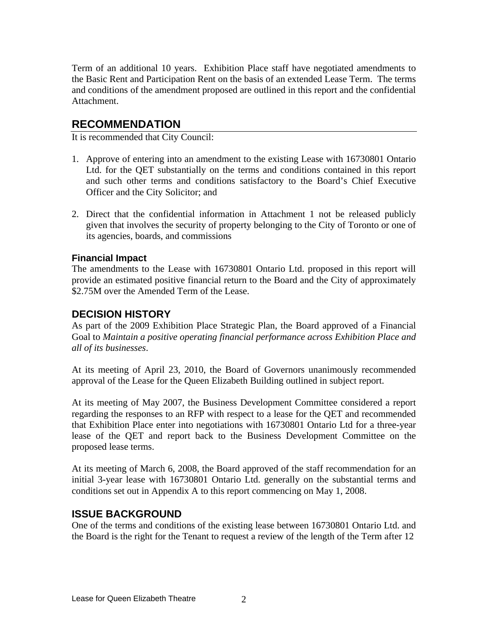Term of an additional 10 years. Exhibition Place staff have negotiated amendments to the Basic Rent and Participation Rent on the basis of an extended Lease Term. The terms and conditions of the amendment proposed are outlined in this report and the confidential Attachment.

### **RECOMMENDATION**

It is recommended that City Council:

- 1. Approve of entering into an amendment to the existing Lease with 16730801 Ontario Ltd. for the QET substantially on the terms and conditions contained in this report and such other terms and conditions satisfactory to the Board's Chief Executive Officer and the City Solicitor; and
- 2. Direct that the confidential information in Attachment 1 not be released publicly given that involves the security of property belonging to the City of Toronto or one of its agencies, boards, and commissions

#### **Financial Impact**

The amendments to the Lease with 16730801 Ontario Ltd. proposed in this report will provide an estimated positive financial return to the Board and the City of approximately \$2.75M over the Amended Term of the Lease.

### **DECISION HISTORY**

As part of the 2009 Exhibition Place Strategic Plan, the Board approved of a Financial Goal to *Maintain a positive operating financial performance across Exhibition Place and* 

*all of its businesses*. At its meeting of April 23, 2010, the Board of Governors unanimously recommended approval of the Lease for the Queen Elizabeth Building outlined in subject report.

At its meeting of May 2007, the Business Development Committee considered a report regarding the responses to an RFP with respect to a lease for the QET and recommended that Exhibition Place enter into negotiations with 16730801 Ontario Ltd for a three-year lease of the QET and report back to the Business Development Committee on the proposed lease terms.

At its meeting of March 6, 2008, the Board approved of the staff recommendation for an initial 3-year lease with 16730801 Ontario Ltd. generally on the substantial terms and conditions set out in Appendix A to this report commencing on May 1, 2008.

### **ISSUE BACKGROUND**

One of the terms and conditions of the existing lease between 16730801 Ontario Ltd. and the Board is the right for the Tenant to request a review of the length of the Term after 12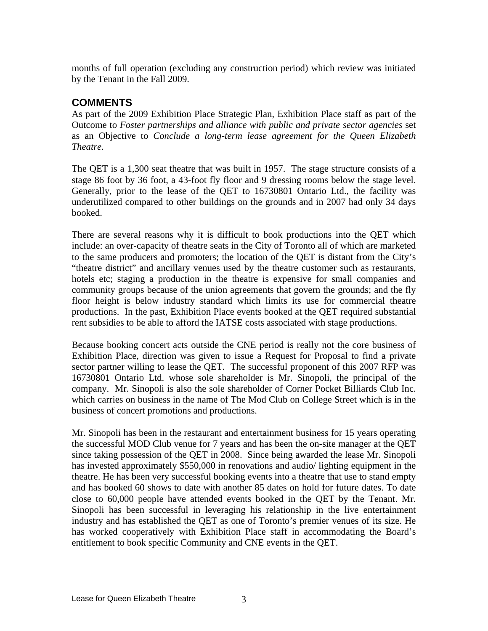months of full operation (excluding any construction period) which review was initiated by the Tenant in the Fall 2009.

## **COMMENTS**

As part of the 2009 Exhibition Place Strategic Plan, Exhibition Place staff as part of the Outcome to *Foster partnershipsand alliance with public and private sector agencies* set as an Objective to *Conclude a long-term lease agreement forthe Queen Elizabeth Theatre.* 

The QET is a 1,300 seat theatre that was built in 1957. The stage structure consists of a stage 86 foot by 36 foot, a 43-foot fly floor and 9 dressing rooms below the stage level. Generally, prior to the lease of the QET to 16730801 Ontario Ltd., the facility was underutilized compared to other buildings on the grounds and in 2007 had only 34 days booked.

There are several reasons why it is difficult to book productions into the QET which include: an over-capacity of theatre seats in the City of Toronto all of which are marketed to the same producers and promoters; the location of the QET is distant from the City's "theatre district" and ancillary venues used by the theatre customer such as restaurants, hotels etc; staging a production in the theatre is expensive for small companies and community groups because of the union agreements that govern the grounds; and the fly floor height is below industry standard which limits its use for commercial theatre productions. In the past, Exhibition Place events booked at the QET required substantial rent subsidies to be able to afford the IATSE costs associated with stage productions.

Because booking concert acts outside the CNE period is really not the core business of Exhibition Place, direction was given to issue a Request for Proposal to find a private sector partner willing to lease the QET. The successful proponent of this 2007 RFP was 16730801 Ontario Ltd. whose sole shareholder is Mr. Sinopoli, the principal of the company. Mr. Sinopoli is also the sole shareholder of Corner Pocket Billiards Club Inc. which carries on business in the name of The Mod Club on College Street which is in the

business of concert promotions and productions.<br>Mr. Sinopoli has been in the restaurant and entertainment business for 15 years operating the successful MOD Club venue for 7 years and has been the on-site manager at the QET since taking possession of the QET in 2008. Since being awarded the lease Mr. Sinopoli has invested approximately \$550,000 in renovations and audio/ lighting equipment in the theatre. He has been very successful booking events into a theatre that use to stand empty and has booked 60 shows to date with another 85 dates on hold for future dates. To date close to 60,000 people have attended events booked in the QET by the Tenant. Mr. Sinopoli has been successful in leveraging his relationship in the live entertainment industry and has established the QET as one of Toronto's premier venues of its size. He has worked cooperatively with Exhibition Place staff in accommodating the Board's entitlement to book specific Community and CNE events in the QET.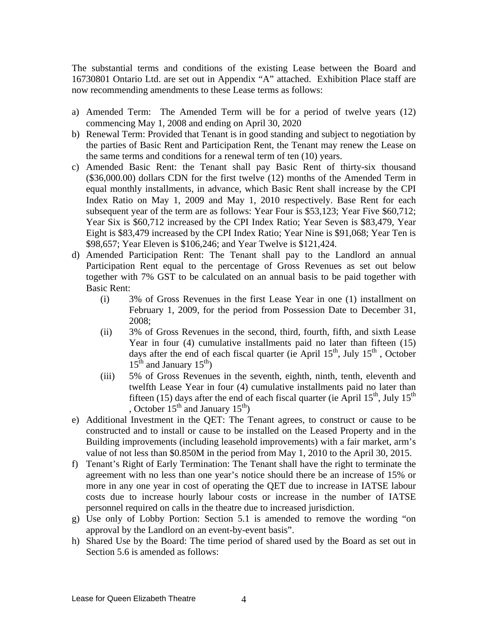The substantial terms and conditions of the existing Lease between the Board and 16730801 Ontario Ltd. are set out in Appendix "A" attached. Exhibition Place staff are now recommending amendments to these Lease terms as follows:

- a) Amended Term: The Amended Term will be for a period of twelve years (12) commencing May 1, 2008 and ending on April 30, 2020
- b) Renewal Term: Provided that Tenant is in good standing and subject to negotiation by the parties of Basic Rent and Participation Rent, the Tenant may renew the Lease on the same terms and conditions for a renewal term of ten (10) years.
- c) Amended Basic Rent: the Tenant shall pay Basic Rent of thirty-six thousand (\$36,000.00) dollars CDN for the first twelve (12) months of the Amended Term in equal monthly installments, in advance, which Basic Rent shall increase by the CPI Index Ratio on May 1, 2009 and May 1, 2010 respectively. Base Rent for each subsequent year of the term are as follows: Year Four is \$53,123; Year Five \$60,712; Year Six is \$60,712 increased by the CPI Index Ratio; Year Seven is \$83,479, Year Eight is \$83,479 increased by the CPI Index Ratio; Year Nine is \$91,068; Year Ten is \$98,657; Year Eleven is \$106,246; and Year Twelve is \$121,424.
- d) Amended Participation Rent: The Tenant shall pay to the Landlord an annual Participation Rent equal to the percentage of Gross Revenues as set out below together with 7% GST to be calculated on an annual basisto be paid together with Basic Rent:
	- (i) 3% of Gross Revenues in the first Lease Year in one (1) installment on February 1, 2009, for the period from Possession Date to December 31, 2008;
	- (ii) 3% of Gross Revenues in the second, third, fourth, fifth, and sixth Lease Year in four (4) cumulative installments paid no later than fifteen (15) days after the end of each fiscal quarter (ie April  $15<sup>th</sup>$ , July  $15<sup>th</sup>$ , October , July  $15^{\text{th}}$ , October  $th$  October , October  $15<sup>th</sup>$  and January  $15<sup>th</sup>$ )
	- (iii) 5% of Gross Revenues in the seventh, eighth, ninth, tenth, eleventh and twelfth Lease Year in four (4) cumulative installments paid no later than fifteen (15) days after the end of each fiscal quarter (ie April  $15<sup>th</sup>$ , July  $15<sup>th</sup>$ , October  $15^{th}$  and January  $15^{th}$ )
- e) Additional Investment in the QET: The Tenant agrees, to construct or cause to be constructed and to install or cause to be installed on the Leased Property and in the Building improvements (including leasehold improvements) with a fair market, arm's value of not less than \$0.850M in the period from May 1, 2010 to the April 30, 2015.
- f) Tenant's Right of Early Termination: The Tenant shall have the right to terminate the agreement with no less than one year's notice should there be an increase of 15% or more in any one year in cost of operating the QET due to increase in IATSE labour costs due to increase hourly labour costs or increase in the number of IATSE personnel required on calls in the theatre due to increased jurisdiction. g) Use only of Lobby Portion: Section 5.1 is amended to remove the wording "on
- approval by the Landlord on an event-by-event basis".
- h) Shared Use by the Board: The time period of shared used by the Board as set out in Section 5.6 is amended as follows: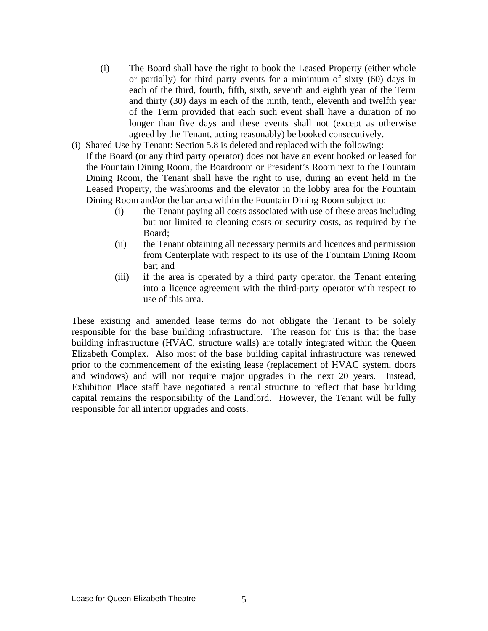- (i) The Board shall have the right to book the Leased Property (either whole or partially) for third party events for a minimum of sixty (60) days in each of the third, fourth, fifth, sixth, seventh and eighth year of the Term and thirty (30) days in each of the ninth, tenth, eleventh and twelfth year of the Term provided that each such event shall have a duration of no longer than five days and these events shall not (except as otherwise agreed by the Tenant, acting reasonably) be booked consecutively.
- (i) Shared Use by Tenant: Section 5.8 is deleted and replaced with the following: If the Board (or any third party operator) does not have an event booked or leased for the Fountain Dining Room, the Boardroom or President's Room next to the Fountain Dining Room, the Tenant shall have the right to use, during an event held in the Leased Property, the washrooms and the elevator in the lobby area for the Fountain Dining Room and/or the bar area within the Fountain Dining Room subject to:
	- (i) the Tenant paying all costs associated with use of these areas including but not limited to cleaning costs or security costs, as required by the Board;
	- (ii) the Tenant obtaining all necessary permits and licences and permission from Centerplate with respect to its use of the Fountain Dining Room bar; and
	- (iii) if the area is operated by a third party operator, the Tenant entering into a licence agreement with the third-party operator with respect to

use of this area. These existing and amended lease terms do not obligate the Tenant to be solely responsible for the base building infrastructure. The reason for this is that the base building infrastructure (HVAC, structure walls) are totally integrated within the Queen Elizabeth Complex. Also most of the base building capital infrastructure was renewed prior to the commencement of the existing lease (replacement of HVAC system, doors and windows) and will not require major upgrades in the next 20 years. Instead, Exhibition Place staff have negotiated a rental structure to reflect that base building capital remains the responsibility of the Landlord. However, the Tenant will be fully responsible for all interior upgrades and costs.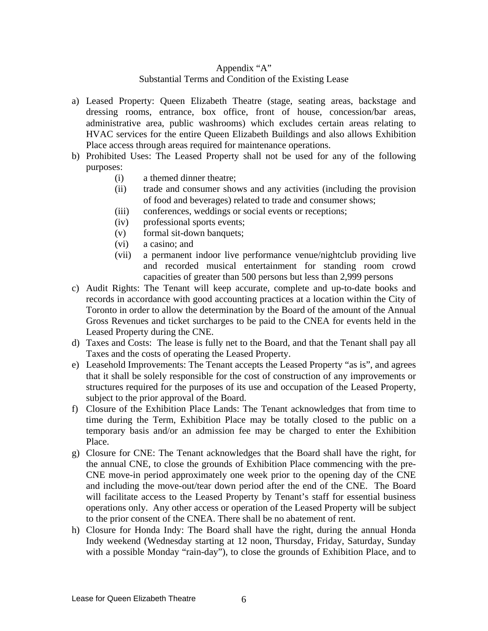### Appendix "A"

#### Substantial Terms and Condition of the Existing Lease

- a) Leased Property: Queen Elizabeth Theatre (stage, seating areas, backstage and dressing rooms, entrance, box office, front of house, concession/bar areas, administrative area, public washrooms) which excludes certain areas relating to HVAC services for the entire Queen Elizabeth Buildings and also allows Exhibition Place access through areas required for maintenance operations.
- b) Prohibited Uses: The Leased Property shall not be used for any of the following purposes: when the contract of the contract of the contract of the contract of the contract of the contract of the contract of the contract of the contract of the contract of the contract of the contract of the contract of
	- (i) a themed dinner theatre;
	- (ii) trade and consumer shows and any activities (including the provision of food and beverages) related to trade and consumer shows;
	- (iii) conferences, weddings or social events or receptions;
	- (iv) professional sports events;
	- (v) formal sit-down banquets;
	- (vi) a casino; and
	- (vii) a permanent indoor live performance venue/nightclub providing live and recorded musical entertainment for standing room crowd capacities of greater than 500 persons but less than 2,999 persons
- c) Audit Rights: The Tenant will keep accurate, complete and up-to-date books and records in accordance with good accounting practices at a location within the City of Toronto in order to allow the determination by the Board of the amount of the Annual Gross Revenues and ticket surcharges to be paid to the CNEA for events held in the Leased Property during the CNE.
- d) Taxes and Costs: The lease is fully net to the Board, and that the Tenant shall pay all Taxes and the costs of operating the Leased Property.
- e) Leasehold Improvements: The Tenant accepts the Leased Property "as is", and agrees that it shall be solely responsible for the cost of construction of any improvements or structures required for the purposes of its use and occupation of the Leased Property, subject to the prior approval of the Board.
- f) Closure of the Exhibition Place Lands: The Tenant acknowledges that from time to time during the Term, Exhibition Place may be totally closed to the public on a temporary basis and/or an admission fee may be charged to enter the Exhibition Place.
- g) Closure for CNE: The Tenant acknowledges that the Board shall have the right, for the annual CNE, to close the grounds of Exhibition Place commencing with the pre- CNE move-in period approximately one week prior to the opening day of the CNE and including the move-out/tear down period after the end of the CNE. The Board will facilitate access to the Leased Property by Tenant's staff for essential business operations only. Any other access or operation of the Leased Property will be subject to the prior consent of the CNEA. There shall be no abatement of rent.
- h) Closure for Honda Indy: The Board shall have the right, during the annual Honda Indy weekend (Wednesday starting at 12 noon, Thursday, Friday, Saturday, Sunday with a possible Monday "rain-day"), to close the grounds of Exhibition Place, and to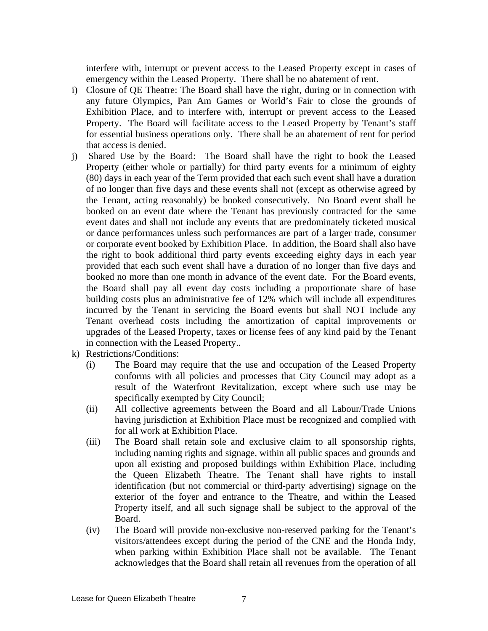interfere with, interrupt or prevent access to the Leased Property except in cases of emergency within the Leased Property. There shall be no abatement of rent.

- i) Closure of QE Theatre: The Board shall have the right, during or in connection with any future Olympics, Pan Am Games or World's Fair to close the grounds of Exhibition Place, and to interfere with, interrupt or prevent access to the Leased Property. The Board will facilitate access to the Leased Property by Tenant's staff for essential business operations only. There shall be an abatement of rent for period that access is denied.
- j) Shared Use by the Board: The Board shall have the right to book the Leased Property (either whole or partially) for third party events for a minimum of eighty (80) days in each year of the Term provided that each such event shall have a duration of no longer than five days and these events shall not (except as otherwise agreed by the Tenant, acting reasonably) be booked consecutively. No Board event shall be booked on an event date where the Tenant has previously contracted for the same event dates and shall not include any events that are predominately ticketed musical or dance performances unless such performances are part of a larger trade, consumer or corporate event booked by Exhibition Place. In addition, the Board shall also have the right to book additional third party events exceeding eighty days in each year provided that each such event shall have a duration of no longer than five days and booked no more than one month in advance of the event date. For the Board events, the Board shall pay all event day costs including a proportionate share of base building costs plus an administrative fee of 12% which will include all expenditures incurred by the Tenant in servicing the Board events but shall NOT include any Tenant overhead costs including the amortization of capital improvements or upgrades of the Leased Property, taxes or license fees of any kind paid by the Tenant in connection with the Leased Property..
- k) Restrictions/Conditions:
	- (i) The Board may require that the use and occupation of the Leased Property conforms with all policies and processes that City Council may adopt as a result of the Waterfront Revitalization, except where such use may be specifically exempted by City Council;
	- (ii) All collective agreements between the Board and all Labour/Trade Unions having jurisdiction at Exhibition Place must be recognized and complied with for all work at Exhibition Place.
	- (iii) The Board shall retain sole and exclusive claim to all sponsorship rights, including naming rights and signage, within all public spaces and grounds and upon all existing and proposed buildings within Exhibition Place, including the Queen Elizabeth Theatre. The Tenant shall have rights to install identification (but not commercial or third-party advertising) signage on the exterior of the foyer and entrance to the Theatre, and within the Leased Property itself, and all such signage shall be subject to the approval of the Board.
	- (iv) The Board will provide non-exclusive non-reserved parking for the Tenant's visitors/attendees except during the period of the CNE and the Honda Indy, when parking within Exhibition Place shall not be available. The Tenant acknowledges that the Board shall retain all revenues from the operation of all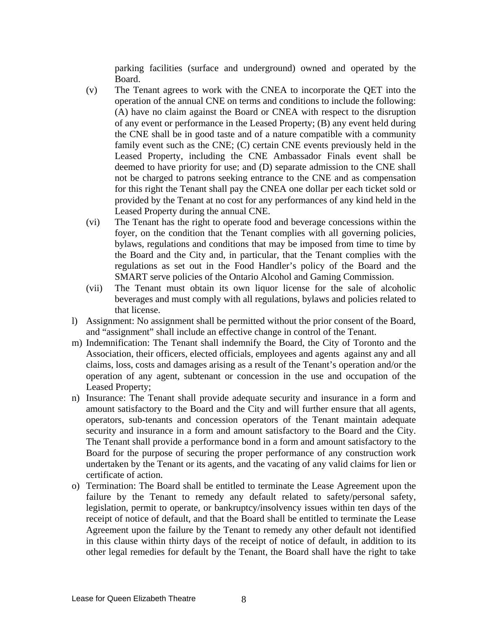parking facilities (surface and underground) owned and operated by the Board.

- (v) The Tenant agrees to work with the CNEA to incorporate the QET into the operation of the annual CNE on terms and conditions to include the following: (A) have no claim against the Board or CNEA with respect to the disruption of any event or performance in the Leased Property; (B) any event held during the CNE shall be in good taste and of a nature compatible with a community family event such as the CNE; (C) certain CNE events previously held in the Leased Property, including the CNE Ambassador Finals event shall be deemed to have priority for use; and (D) separate admission to the CNE shall not be charged to patrons seeking entrance to the CNE and as compensation for this right the Tenant shall pay the CNEA one dollar per each ticket sold or provided by the Tenant at no cost for any performances of any kind held in the Leased Property during the annual CNE.
- (vi) The Tenant has the right to operate food and beverage concessions within the foyer, on the condition that the Tenant complies with all governing policies, bylaws, regulations and conditions that may be imposed from time to time by the Board and the City and, in particular, that the Tenant complies with the regulations as set out in the Food Handler's policy of the Board and the SMART serve policies of the Ontario Alcohol and Gaming Commission.
- (vii) The Tenant must obtain its own liquor license for the sale of alcoholic beverages and must comply with all regulations, bylaws and policies related to that license.
- l) Assignment: No assignment shall be permitted without the prior consent of the Board, and "assignment" shall include an effective change in control of the Tenant.
- m) Indemnification: The Tenant shall indemnify the Board, the City of Toronto and the Association, their officers, elected officials, employees and agents against any and all claims, loss, costs and damages arising as a result of the Tenant's operation and/or the operation of any agent, subtenant or concession in the use and occupation of the Leased Property;
- n) Insurance: The Tenant shall provide adequate security and insurance in a form and amount satisfactory to the Board and the City and will further ensure that all agents, operators, sub-tenants and concession operators of the Tenant maintain adequate security and insurance in a form and amount satisfactory to the Board and the City. The Tenant shall provide a performance bond in a form and amount satisfactory to the Board for the purpose of securing the proper performance of any construction work undertaken by the Tenant or its agents, and the vacating of any valid claims for lien or certificate of action.
- o) Termination: The Board shall be entitled to terminate the Lease Agreement upon the failure by the Tenant to remedy any default related to safety/personal safety, legislation, permit to operate, or bankruptcy/insolvency issues within ten days of the receipt of notice of default, and that the Board shall be entitled to terminate the Lease Agreement upon the failure by the Tenant to remedy any other default not identified in this clause within thirty days of the receipt of notice of default, in addition to its other legal remedies for default by the Tenant, the Board shall have the right to take